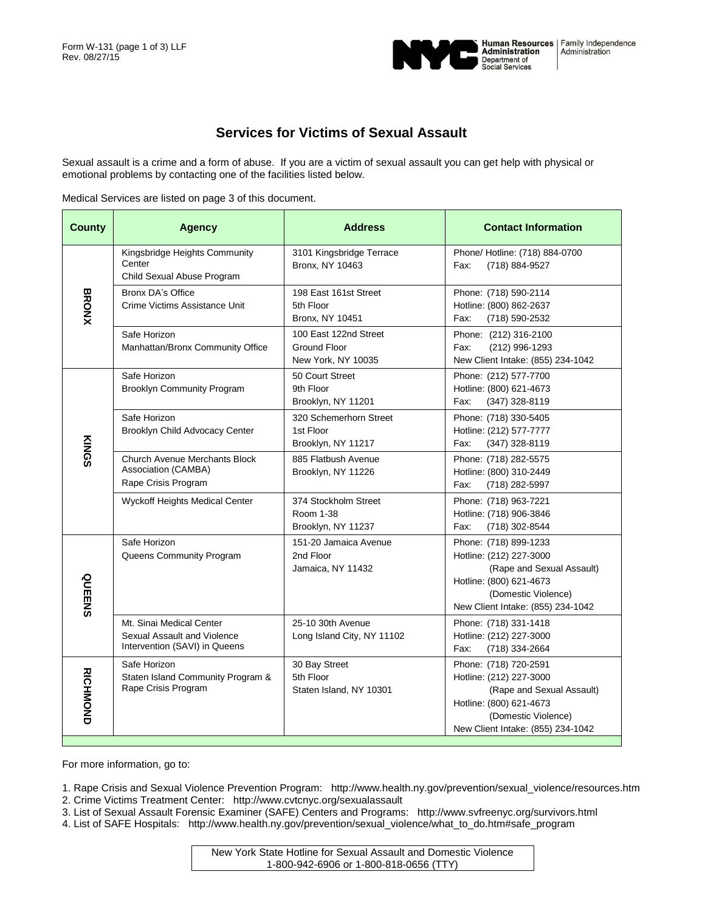

## **Services for Victims of Sexual Assault**

Sexual assault is a crime and a form of abuse. If you are a victim of sexual assault you can get help with physical or emotional problems by contacting one of the facilities listed below.

Medical Services are listed on page 3 of this document.

| <b>County</b>   | <b>Agency</b>                                                                            | <b>Address</b>                                              | <b>Contact Information</b>                                                                                                                                           |
|-----------------|------------------------------------------------------------------------------------------|-------------------------------------------------------------|----------------------------------------------------------------------------------------------------------------------------------------------------------------------|
| <b>BRONX</b>    | Kingsbridge Heights Community<br>Center<br>Child Sexual Abuse Program                    | 3101 Kingsbridge Terrace<br>Bronx, NY 10463                 | Phone/ Hotline: (718) 884-0700<br>(718) 884-9527<br>Fax:                                                                                                             |
|                 | <b>Bronx DA's Office</b><br>Crime Victims Assistance Unit                                | 198 East 161st Street<br>5th Floor<br>Bronx, NY 10451       | Phone: (718) 590-2114<br>Hotline: (800) 862-2637<br>Fax:<br>(718) 590-2532                                                                                           |
|                 | Safe Horizon<br>Manhattan/Bronx Community Office                                         | 100 East 122nd Street<br>Ground Floor<br>New York, NY 10035 | Phone: (212) 316-2100<br>Fax:<br>(212) 996-1293<br>New Client Intake: (855) 234-1042                                                                                 |
| KINGS           | Safe Horizon<br><b>Brooklyn Community Program</b>                                        | 50 Court Street<br>9th Floor<br>Brooklyn, NY 11201          | Phone: (212) 577-7700<br>Hotline: (800) 621-4673<br>Fax:<br>$(347)$ 328-8119                                                                                         |
|                 | Safe Horizon<br>Brooklyn Child Advocacy Center                                           | 320 Schemerhorn Street<br>1st Floor<br>Brooklyn, NY 11217   | Phone: (718) 330-5405<br>Hotline: (212) 577-7777<br>Fax:<br>(347) 328-8119                                                                                           |
|                 | <b>Church Avenue Merchants Block</b><br>Association (CAMBA)<br>Rape Crisis Program       | 885 Flatbush Avenue<br>Brooklyn, NY 11226                   | Phone: (718) 282-5575<br>Hotline: (800) 310-2449<br>Fax:<br>(718) 282-5997                                                                                           |
|                 | Wyckoff Heights Medical Center                                                           | 374 Stockholm Street<br>Room 1-38<br>Brooklyn, NY 11237     | Phone: (718) 963-7221<br>Hotline: (718) 906-3846<br>(718) 302-8544<br>Fax:                                                                                           |
| QUEENS          | Safe Horizon<br>Queens Community Program                                                 | 151-20 Jamaica Avenue<br>2nd Floor<br>Jamaica, NY 11432     | Phone: (718) 899-1233<br>Hotline: (212) 227-3000<br>(Rape and Sexual Assault)<br>Hotline: (800) 621-4673<br>(Domestic Violence)<br>New Client Intake: (855) 234-1042 |
|                 | Mt. Sinai Medical Center<br>Sexual Assault and Violence<br>Intervention (SAVI) in Queens | 25-10 30th Avenue<br>Long Island City, NY 11102             | Phone: (718) 331-1418<br>Hotline: (212) 227-3000<br>(718) 334-2664<br>Fax:                                                                                           |
| <b>RICHMOND</b> | Safe Horizon<br>Staten Island Community Program &<br>Rape Crisis Program                 | 30 Bay Street<br>5th Floor<br>Staten Island, NY 10301       | Phone: (718) 720-2591<br>Hotline: (212) 227-3000<br>(Rape and Sexual Assault)<br>Hotline: (800) 621-4673<br>(Domestic Violence)<br>New Client Intake: (855) 234-1042 |

For more information, go to:

- 1. Rape Crisis and Sexual Violence Prevention Program: http://www.health.ny.gov/prevention/sexual\_violence/resources.htm 2. Crime Victims Treatment Center: http://www.cvtcnyc.org/sexualassault
- 3. List of Sexual Assault Forensic Examiner (SAFE) Centers and Programs: http://www.svfreenyc.org/survivors.html
- 4. List of SAFE Hospitals: http://www.health.ny.gov/prevention/sexual\_violence/what\_to\_do.htm#safe\_program

New York State Hotline for Sexual Assault and Domestic Violence 1-800-942-6906 or 1-800-818-0656 (TTY)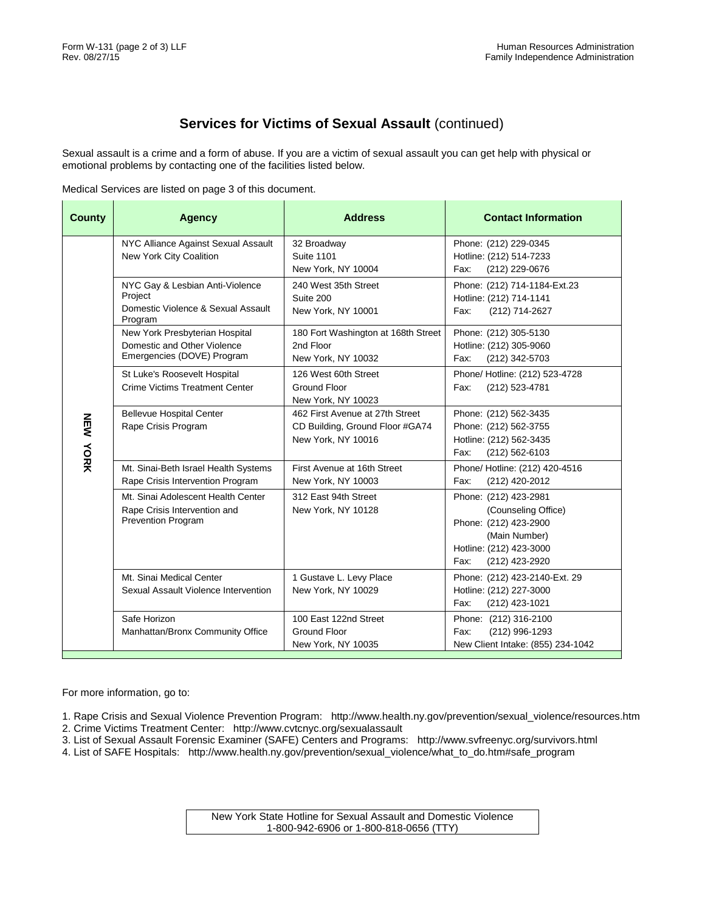## **Services for Victims of Sexual Assault** (continued)

Sexual assault is a crime and a form of abuse. If you are a victim of sexual assault you can get help with physical or emotional problems by contacting one of the facilities listed below.

Medical Services are listed on page 3 of this document.

| <b>County</b> | <b>Agency</b>                                                                                   | <b>Address</b>                                                                           | <b>Contact Information</b>                                                                                                                  |
|---------------|-------------------------------------------------------------------------------------------------|------------------------------------------------------------------------------------------|---------------------------------------------------------------------------------------------------------------------------------------------|
| NEW YORK      | NYC Alliance Against Sexual Assault<br>New York City Coalition                                  | 32 Broadway<br><b>Suite 1101</b><br>New York, NY 10004                                   | Phone: (212) 229-0345<br>Hotline: (212) 514-7233<br>Fax:<br>(212) 229-0676                                                                  |
|               | NYC Gay & Lesbian Anti-Violence<br>Project<br>Domestic Violence & Sexual Assault<br>Program     | 240 West 35th Street<br>Suite 200<br>New York, NY 10001                                  | Phone: (212) 714-1184-Ext.23<br>Hotline: (212) 714-1141<br>Fax:<br>(212) 714-2627                                                           |
|               | New York Presbyterian Hospital<br>Domestic and Other Violence<br>Emergencies (DOVE) Program     | 180 Fort Washington at 168th Street<br>2nd Floor<br>New York, NY 10032                   | Phone: (212) 305-5130<br>Hotline: (212) 305-9060<br>Fax:<br>(212) 342-5703                                                                  |
|               | St Luke's Roosevelt Hospital<br><b>Crime Victims Treatment Center</b>                           | 126 West 60th Street<br><b>Ground Floor</b><br>New York, NY 10023                        | Phone/ Hotline: (212) 523-4728<br>(212) 523-4781<br>Fax:                                                                                    |
|               | <b>Bellevue Hospital Center</b><br>Rape Crisis Program                                          | 462 First Avenue at 27th Street<br>CD Building, Ground Floor #GA74<br>New York, NY 10016 | Phone: (212) 562-3435<br>Phone: (212) 562-3755<br>Hotline: (212) 562-3435<br>Fax:<br>(212) 562-6103                                         |
|               | Mt. Sinai-Beth Israel Health Systems<br>Rape Crisis Intervention Program                        | First Avenue at 16th Street<br>New York, NY 10003                                        | Phone/ Hotline: (212) 420-4516<br>Fax:<br>(212) 420-2012                                                                                    |
|               | Mt. Sinai Adolescent Health Center<br>Rape Crisis Intervention and<br><b>Prevention Program</b> | 312 East 94th Street<br>New York, NY 10128                                               | Phone: (212) 423-2981<br>(Counseling Office)<br>Phone: (212) 423-2900<br>(Main Number)<br>Hotline: (212) 423-3000<br>Fax:<br>(212) 423-2920 |
|               | Mt. Sinai Medical Center<br>Sexual Assault Violence Intervention                                | 1 Gustave L. Levy Place<br>New York, NY 10029                                            | Phone: (212) 423-2140-Ext. 29<br>Hotline: (212) 227-3000<br>Fax:<br>(212) 423-1021                                                          |
|               | Safe Horizon<br>Manhattan/Bronx Community Office                                                | 100 East 122nd Street<br><b>Ground Floor</b><br>New York, NY 10035                       | Phone: (212) 316-2100<br>(212) 996-1293<br>Fax:<br>New Client Intake: (855) 234-1042                                                        |

For more information, go to:

- 1. Rape Crisis and Sexual Violence Prevention Program: http://www.health.ny.gov/prevention/sexual\_violence/resources.htm 2. Crime Victims Treatment Center: http://www.cvtcnyc.org/sexualassault
- 3. List of Sexual Assault Forensic Examiner (SAFE) Centers and Programs: http://www.svfreenyc.org/survivors.html
- 4. List of SAFE Hospitals: http://www.health.ny.gov/prevention/sexual\_violence/what\_to\_do.htm#safe\_program

New York State Hotline for Sexual Assault and Domestic Violence 1-800-942-6906 or 1-800-818-0656 (TTY)